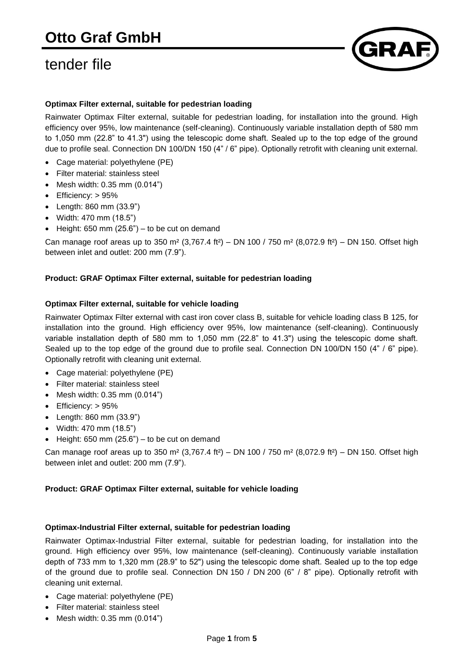

# **Optimax Filter external, suitable for pedestrian loading**

Rainwater Optimax Filter external, suitable for pedestrian loading, for installation into the ground. High efficiency over 95%, low maintenance (self-cleaning). Continuously variable installation depth of 580 mm to 1,050 mm (22.8" to 41.3") using the telescopic dome shaft. Sealed up to the top edge of the ground due to profile seal. Connection DN 100/DN 150 (4" / 6" pipe). Optionally retrofit with cleaning unit external.

- Cage material: polyethylene (PE)
- Filter material: stainless steel
- Mesh width: 0.35 mm (0.014")
- Efficiency: > 95%
- Length: 860 mm (33.9")
- Width: 470 mm (18.5")
- $\bullet$  Height: 650 mm (25.6") to be cut on demand

Can manage roof areas up to 350 m<sup>2</sup> (3,767.4 ft<sup>2</sup>) – DN 100 / 750 m<sup>2</sup> (8,072.9 ft<sup>2</sup>) – DN 150. Offset high between inlet and outlet: 200 mm (7.9").

### **Product: GRAF Optimax Filter external, suitable for pedestrian loading**

#### **Optimax Filter external, suitable for vehicle loading**

Rainwater Optimax Filter external with cast iron cover class B, suitable for vehicle loading class B 125, for installation into the ground. High efficiency over 95%, low maintenance (self-cleaning). Continuously variable installation depth of 580 mm to 1,050 mm (22.8" to 41.3") using the telescopic dome shaft. Sealed up to the top edge of the ground due to profile seal. Connection DN 100/DN 150 (4" / 6" pipe). Optionally retrofit with cleaning unit external.

- Cage material: polyethylene (PE)
- Filter material: stainless steel
- Mesh width: 0.35 mm (0.014")
- Efficiency: > 95%
- Length: 860 mm (33.9")
- Width: 470 mm (18.5")
- $\bullet$  Height: 650 mm (25.6") to be cut on demand

Can manage roof areas up to 350 m<sup>2</sup> (3,767.4 ft<sup>2</sup>) – DN 100 / 750 m<sup>2</sup> (8,072.9 ft<sup>2</sup>) – DN 150. Offset high between inlet and outlet: 200 mm (7.9").

#### **Product: GRAF Optimax Filter external, suitable for vehicle loading**

### **Optimax-Industrial Filter external, suitable for pedestrian loading**

Rainwater Optimax-Industrial Filter external, suitable for pedestrian loading, for installation into the ground. High efficiency over 95%, low maintenance (self-cleaning). Continuously variable installation depth of 733 mm to 1,320 mm (28.9" to 52") using the telescopic dome shaft. Sealed up to the top edge of the ground due to profile seal. Connection DN 150 / DN 200 (6" / 8" pipe). Optionally retrofit with cleaning unit external.

- Cage material: polyethylene (PE)
- Filter material: stainless steel
- Mesh width: 0.35 mm (0.014")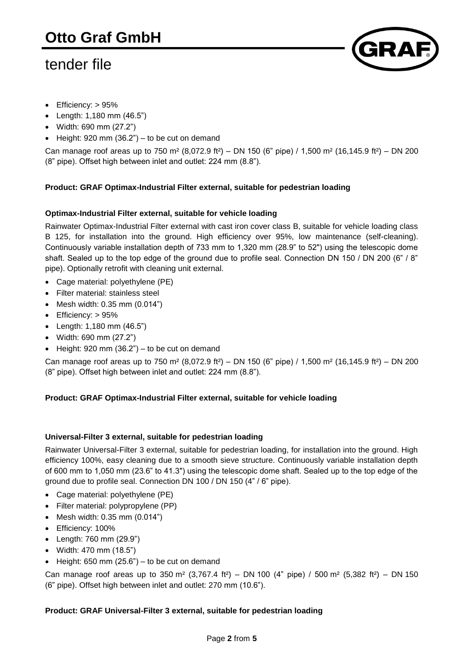

- Efficiency: > 95%
- Length: 1,180 mm (46.5")
- Width: 690 mm (27.2")
- $\bullet$  Height: 920 mm (36.2") to be cut on demand

Can manage roof areas up to 750 m<sup>2</sup> (8,072.9 ft<sup>2</sup>) – DN 150 (6" pipe) / 1,500 m<sup>2</sup> (16,145.9 ft<sup>2</sup>) – DN 200 (8" pipe). Offset high between inlet and outlet: 224 mm (8.8").

# **Product: GRAF Optimax-Industrial Filter external, suitable for pedestrian loading**

# **Optimax-Industrial Filter external, suitable for vehicle loading**

Rainwater Optimax-Industrial Filter external with cast iron cover class B, suitable for vehicle loading class B 125, for installation into the ground. High efficiency over 95%, low maintenance (self-cleaning). Continuously variable installation depth of 733 mm to 1,320 mm (28.9" to 52") using the telescopic dome shaft. Sealed up to the top edge of the ground due to profile seal. Connection DN 150 / DN 200 (6" / 8" pipe). Optionally retrofit with cleaning unit external.

- Cage material: polyethylene (PE)
- Filter material: stainless steel
- $\bullet$  Mesh width: 0.35 mm (0.014")
- Efficiency: > 95%
- Length: 1,180 mm (46.5")
- Width: 690 mm (27.2")
- $\bullet$  Height: 920 mm (36.2") to be cut on demand

Can manage roof areas up to 750 m<sup>2</sup> (8,072.9 ft<sup>2</sup>) – DN 150 (6" pipe) / 1,500 m<sup>2</sup> (16,145.9 ft<sup>2</sup>) – DN 200 (8" pipe). Offset high between inlet and outlet: 224 mm (8.8").

### **Product: GRAF Optimax-Industrial Filter external, suitable for vehicle loading**

### **Universal-Filter 3 external, suitable for pedestrian loading**

Rainwater Universal-Filter 3 external, suitable for pedestrian loading, for installation into the ground. High efficiency 100%, easy cleaning due to a smooth sieve structure. Continuously variable installation depth of 600 mm to 1,050 mm (23.6" to 41.3") using the telescopic dome shaft. Sealed up to the top edge of the ground due to profile seal. Connection DN 100 / DN 150 (4" / 6" pipe).

- Cage material: polyethylene (PE)
- Filter material: polypropylene (PP)
- Mesh width:  $0.35$  mm  $(0.014")$
- Efficiency: 100%
- Length: 760 mm (29.9")
- Width: 470 mm (18.5")
- $\bullet$  Height: 650 mm (25.6") to be cut on demand

Can manage roof areas up to 350 m<sup>2</sup> (3,767.4 ft<sup>2</sup>) – DN 100 (4" pipe) / 500 m<sup>2</sup> (5,382 ft<sup>2</sup>) – DN 150 (6" pipe). Offset high between inlet and outlet: 270 mm (10.6").

### **Product: GRAF Universal-Filter 3 external, suitable for pedestrian loading**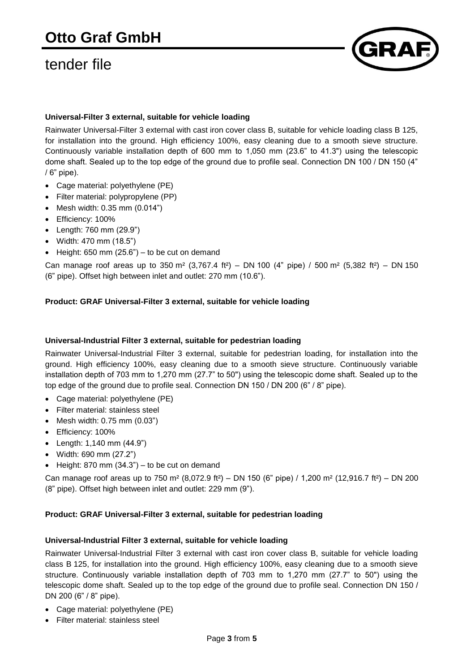

# **Universal-Filter 3 external, suitable for vehicle loading**

Rainwater Universal-Filter 3 external with cast iron cover class B, suitable for vehicle loading class B 125, for installation into the ground. High efficiency 100%, easy cleaning due to a smooth sieve structure. Continuously variable installation depth of 600 mm to 1,050 mm (23.6" to 41.3") using the telescopic dome shaft. Sealed up to the top edge of the ground due to profile seal. Connection DN 100 / DN 150 (4" / 6" pipe).

- Cage material: polyethylene (PE)
- Filter material: polypropylene (PP)
- $\bullet$  Mesh width: 0.35 mm (0.014")
- Efficiency: 100%
- Length: 760 mm (29.9")
- Width: 470 mm (18.5")
- $\bullet$  Height: 650 mm (25.6") to be cut on demand

Can manage roof areas up to 350 m² (3,767.4 ft²) – DN 100 (4" pipe) / 500 m² (5,382 ft²) – DN 150 (6" pipe). Offset high between inlet and outlet: 270 mm (10.6").

# **Product: GRAF Universal-Filter 3 external, suitable for vehicle loading**

### **Universal-Industrial Filter 3 external, suitable for pedestrian loading**

Rainwater Universal-Industrial Filter 3 external, suitable for pedestrian loading, for installation into the ground. High efficiency 100%, easy cleaning due to a smooth sieve structure. Continuously variable installation depth of 703 mm to 1,270 mm (27.7" to 50") using the telescopic dome shaft. Sealed up to the top edge of the ground due to profile seal. Connection DN 150 / DN 200 (6" / 8" pipe).

- Cage material: polyethylene (PE)
- Filter material: stainless steel
- Mesh width: 0.75 mm (0.03")
- Efficiency: 100%
- Length: 1,140 mm (44.9")
- Width: 690 mm (27.2")
- $\bullet$  Height: 870 mm (34.3") to be cut on demand

Can manage roof areas up to 750 m<sup>2</sup> (8,072.9 ft<sup>2</sup>) – DN 150 (6" pipe) / 1,200 m<sup>2</sup> (12,916.7 ft<sup>2</sup>) – DN 200 (8" pipe). Offset high between inlet and outlet: 229 mm (9").

### **Product: GRAF Universal-Filter 3 external, suitable for pedestrian loading**

### **Universal-Industrial Filter 3 external, suitable for vehicle loading**

Rainwater Universal-Industrial Filter 3 external with cast iron cover class B, suitable for vehicle loading class B 125, for installation into the ground. High efficiency 100%, easy cleaning due to a smooth sieve structure. Continuously variable installation depth of 703 mm to 1,270 mm (27.7" to 50") using the telescopic dome shaft. Sealed up to the top edge of the ground due to profile seal. Connection DN 150 / DN 200 (6" / 8" pipe).

- Cage material: polyethylene (PE)
- Filter material: stainless steel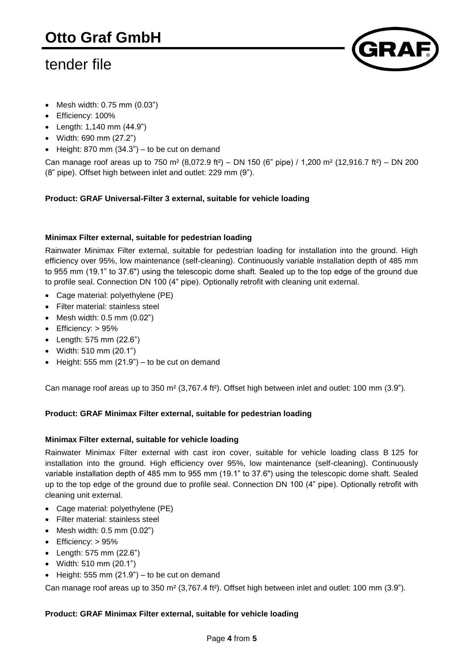

- Mesh width: 0.75 mm (0.03")
- Efficiency: 100%
- Length: 1,140 mm (44.9")
- Width: 690 mm (27.2")
- $\bullet$  Height: 870 mm (34.3") to be cut on demand

Can manage roof areas up to 750 m<sup>2</sup> (8,072.9 ft<sup>2</sup>) – DN 150 (6" pipe) / 1,200 m<sup>2</sup> (12,916.7 ft<sup>2</sup>) – DN 200 (8" pipe). Offset high between inlet and outlet: 229 mm (9").

# **Product: GRAF Universal-Filter 3 external, suitable for vehicle loading**

# **Minimax Filter external, suitable for pedestrian loading**

Rainwater Minimax Filter external, suitable for pedestrian loading for installation into the ground. High efficiency over 95%, low maintenance (self-cleaning). Continuously variable installation depth of 485 mm to 955 mm (19.1" to 37.6") using the telescopic dome shaft. Sealed up to the top edge of the ground due to profile seal. Connection DN 100 (4" pipe). Optionally retrofit with cleaning unit external.

- Cage material: polyethylene (PE)
- Filter material: stainless steel
- $\bullet$  Mesh width: 0.5 mm (0.02")
- Efficiency: > 95%
- Length: 575 mm (22.6")
- Width: 510 mm (20.1")
- $\bullet$  Height: 555 mm (21.9") to be cut on demand

Can manage roof areas up to 350 m² (3,767.4 ft²). Offset high between inlet and outlet: 100 mm (3.9").

### **Product: GRAF Minimax Filter external, suitable for pedestrian loading**

### **Minimax Filter external, suitable for vehicle loading**

Rainwater Minimax Filter external with cast iron cover, suitable for vehicle loading class B 125 for installation into the ground. High efficiency over 95%, low maintenance (self-cleaning). Continuously variable installation depth of 485 mm to 955 mm (19.1" to 37.6") using the telescopic dome shaft. Sealed up to the top edge of the ground due to profile seal. Connection DN 100 (4" pipe). Optionally retrofit with cleaning unit external.

- Cage material: polyethylene (PE)
- Filter material: stainless steel
- $\bullet$  Mesh width: 0.5 mm  $(0.02)$
- Efficiency: > 95%
- Length: 575 mm (22.6")
- Width: 510 mm (20.1")
- $\bullet$  Height: 555 mm (21.9") to be cut on demand

Can manage roof areas up to 350 m² (3,767.4 ft²). Offset high between inlet and outlet: 100 mm (3.9").

### **Product: GRAF Minimax Filter external, suitable for vehicle loading**